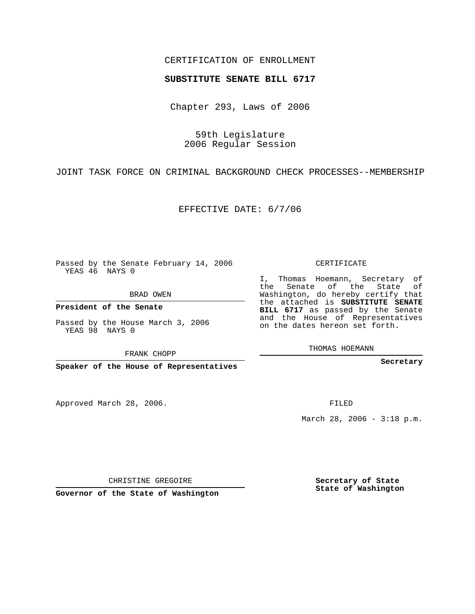## CERTIFICATION OF ENROLLMENT

## **SUBSTITUTE SENATE BILL 6717**

Chapter 293, Laws of 2006

59th Legislature 2006 Regular Session

JOINT TASK FORCE ON CRIMINAL BACKGROUND CHECK PROCESSES--MEMBERSHIP

EFFECTIVE DATE: 6/7/06

Passed by the Senate February 14, 2006 YEAS 46 NAYS 0

BRAD OWEN

**President of the Senate**

Passed by the House March 3, 2006 YEAS 98 NAYS 0

FRANK CHOPP

**Speaker of the House of Representatives**

Approved March 28, 2006.

CERTIFICATE

I, Thomas Hoemann, Secretary of the Senate of the State of Washington, do hereby certify that the attached is **SUBSTITUTE SENATE BILL 6717** as passed by the Senate and the House of Representatives on the dates hereon set forth.

THOMAS HOEMANN

**Secretary**

FILED

March 28, 2006 - 3:18 p.m.

CHRISTINE GREGOIRE

**Governor of the State of Washington**

**Secretary of State State of Washington**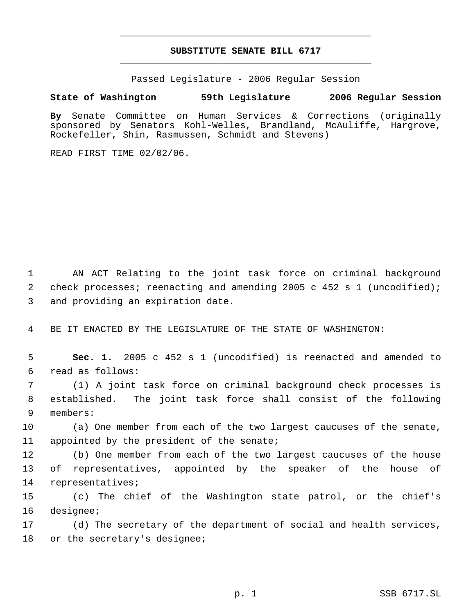## **SUBSTITUTE SENATE BILL 6717** \_\_\_\_\_\_\_\_\_\_\_\_\_\_\_\_\_\_\_\_\_\_\_\_\_\_\_\_\_\_\_\_\_\_\_\_\_\_\_\_\_\_\_\_\_

\_\_\_\_\_\_\_\_\_\_\_\_\_\_\_\_\_\_\_\_\_\_\_\_\_\_\_\_\_\_\_\_\_\_\_\_\_\_\_\_\_\_\_\_\_

Passed Legislature - 2006 Regular Session

## **State of Washington 59th Legislature 2006 Regular Session**

**By** Senate Committee on Human Services & Corrections (originally sponsored by Senators Kohl-Welles, Brandland, McAuliffe, Hargrove, Rockefeller, Shin, Rasmussen, Schmidt and Stevens)

READ FIRST TIME 02/02/06.

 AN ACT Relating to the joint task force on criminal background check processes; reenacting and amending 2005 c 452 s 1 (uncodified); and providing an expiration date.

BE IT ENACTED BY THE LEGISLATURE OF THE STATE OF WASHINGTON:

 **Sec. 1.** 2005 c 452 s 1 (uncodified) is reenacted and amended to read as follows:

 (1) A joint task force on criminal background check processes is established. The joint task force shall consist of the following members:

 (a) One member from each of the two largest caucuses of the senate, 11 appointed by the president of the senate;

 (b) One member from each of the two largest caucuses of the house of representatives, appointed by the speaker of the house of representatives;

 (c) The chief of the Washington state patrol, or the chief's designee;

 (d) The secretary of the department of social and health services, or the secretary's designee;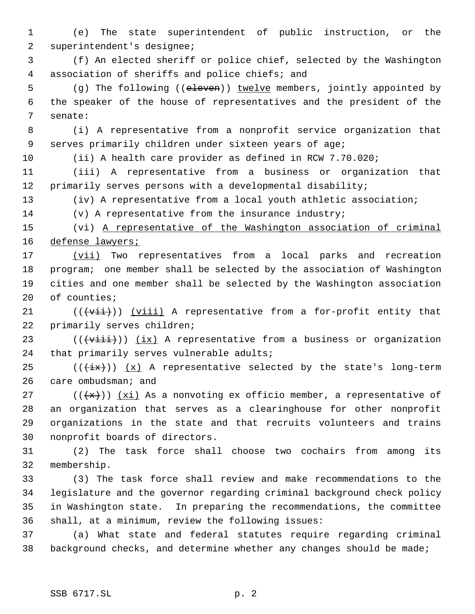(e) The state superintendent of public instruction, or the superintendent's designee;

 (f) An elected sheriff or police chief, selected by the Washington association of sheriffs and police chiefs; and

5 (g) The following ((eleven)) twelve members, jointly appointed by the speaker of the house of representatives and the president of the senate:

 (i) A representative from a nonprofit service organization that serves primarily children under sixteen years of age;

(ii) A health care provider as defined in RCW 7.70.020;

 (iii) A representative from a business or organization that primarily serves persons with a developmental disability;

(iv) A representative from a local youth athletic association;

(v) A representative from the insurance industry;

 (vi) A representative of the Washington association of criminal 16 defense lawyers;

17 (vii) Two representatives from a local parks and recreation program; one member shall be selected by the association of Washington cities and one member shall be selected by the Washington association of counties;

21  $((\overrightarrow{vii}))$   $(viii)$  A representative from a for-profit entity that primarily serves children;

23 ( $(\forall$ iii))  $(ix)$  A representative from a business or organization that primarily serves vulnerable adults;

25 ( $(\overleftrightarrow{ix})$ )  $(x)$  A representative selected by the state's long-term care ombudsman; and

27 ( $(\langle x\rangle)$ )  $(xi)$  As a nonvoting ex officio member, a representative of an organization that serves as a clearinghouse for other nonprofit organizations in the state and that recruits volunteers and trains nonprofit boards of directors.

 (2) The task force shall choose two cochairs from among its membership.

 (3) The task force shall review and make recommendations to the legislature and the governor regarding criminal background check policy in Washington state. In preparing the recommendations, the committee shall, at a minimum, review the following issues:

 (a) What state and federal statutes require regarding criminal background checks, and determine whether any changes should be made;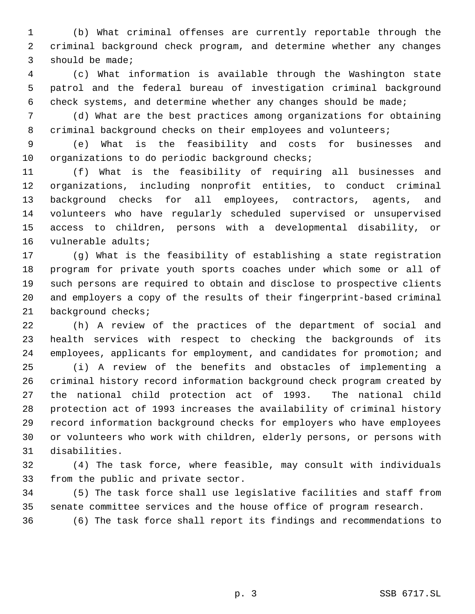(b) What criminal offenses are currently reportable through the criminal background check program, and determine whether any changes should be made;

 (c) What information is available through the Washington state patrol and the federal bureau of investigation criminal background check systems, and determine whether any changes should be made;

 (d) What are the best practices among organizations for obtaining 8 criminal background checks on their employees and volunteers;

 (e) What is the feasibility and costs for businesses and organizations to do periodic background checks;

 (f) What is the feasibility of requiring all businesses and organizations, including nonprofit entities, to conduct criminal background checks for all employees, contractors, agents, and volunteers who have regularly scheduled supervised or unsupervised access to children, persons with a developmental disability, or vulnerable adults;

 (g) What is the feasibility of establishing a state registration program for private youth sports coaches under which some or all of such persons are required to obtain and disclose to prospective clients and employers a copy of the results of their fingerprint-based criminal background checks;

 (h) A review of the practices of the department of social and health services with respect to checking the backgrounds of its employees, applicants for employment, and candidates for promotion; and

 (i) A review of the benefits and obstacles of implementing a criminal history record information background check program created by the national child protection act of 1993. The national child protection act of 1993 increases the availability of criminal history record information background checks for employers who have employees or volunteers who work with children, elderly persons, or persons with disabilities.

 (4) The task force, where feasible, may consult with individuals from the public and private sector.

 (5) The task force shall use legislative facilities and staff from senate committee services and the house office of program research.

(6) The task force shall report its findings and recommendations to